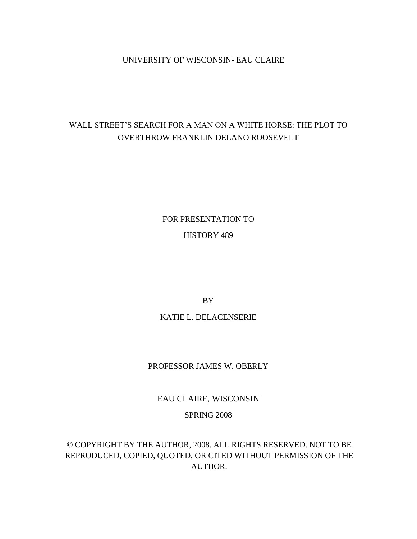### UNIVERSITY OF WISCONSIN- EAU CLAIRE

# WALL STREET"S SEARCH FOR A MAN ON A WHITE HORSE: THE PLOT TO OVERTHROW FRANKLIN DELANO ROOSEVELT

FOR PRESENTATION TO

## HISTORY 489

BY

## KATIE L. DELACENSERIE

## PROFESSOR JAMES W. OBERLY

EAU CLAIRE, WISCONSIN

## SPRING 2008

© COPYRIGHT BY THE AUTHOR, 2008. ALL RIGHTS RESERVED. NOT TO BE REPRODUCED, COPIED, QUOTED, OR CITED WITHOUT PERMISSION OF THE AUTHOR.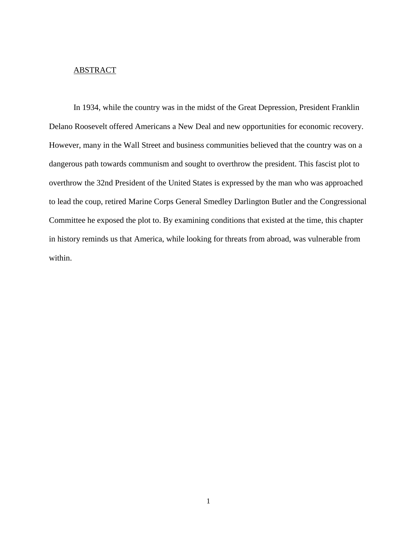#### ABSTRACT

In 1934, while the country was in the midst of the Great Depression, President Franklin Delano Roosevelt offered Americans a New Deal and new opportunities for economic recovery. However, many in the Wall Street and business communities believed that the country was on a dangerous path towards communism and sought to overthrow the president. This fascist plot to overthrow the 32nd President of the United States is expressed by the man who was approached to lead the coup, retired Marine Corps General Smedley Darlington Butler and the Congressional Committee he exposed the plot to. By examining conditions that existed at the time, this chapter in history reminds us that America, while looking for threats from abroad, was vulnerable from within.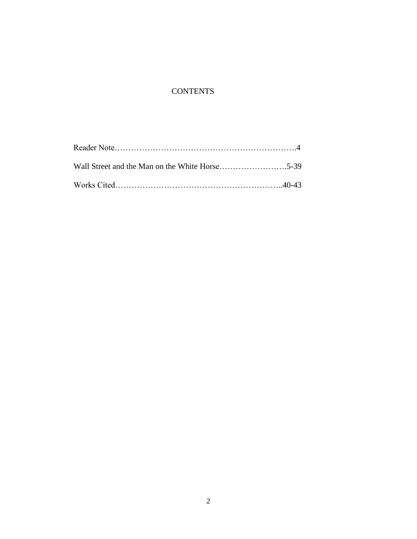# **CONTENTS**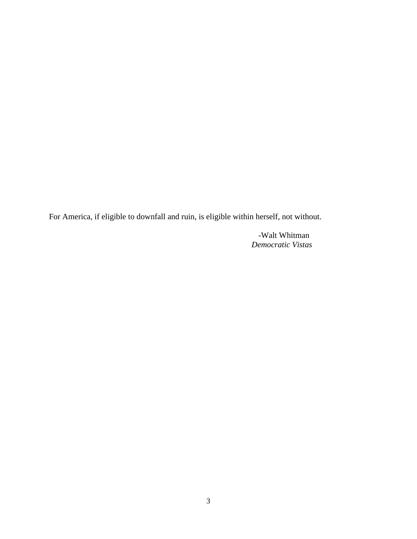For America, if eligible to downfall and ruin, is eligible within herself, not without.

 -Walt Whitman *Democratic Vistas*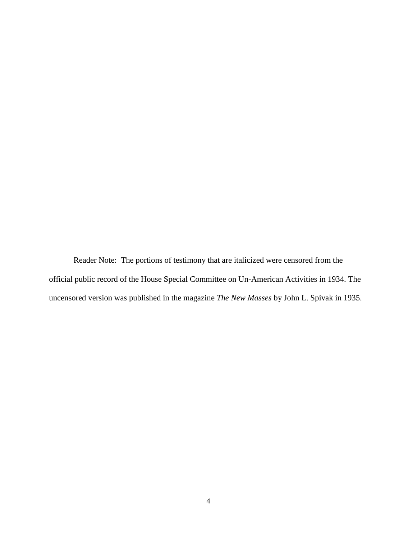Reader Note: The portions of testimony that are italicized were censored from the official public record of the House Special Committee on Un-American Activities in 1934. The uncensored version was published in the magazine *The New Masses* by John L. Spivak in 1935.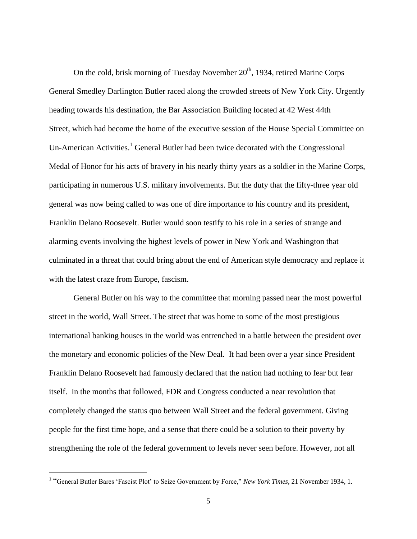On the cold, brisk morning of Tuesday November 20<sup>th</sup>, 1934, retired Marine Corps General Smedley Darlington Butler raced along the crowded streets of New York City. Urgently heading towards his destination, the Bar Association Building located at 42 West 44th Street, which had become the home of the executive session of the House Special Committee on Un-American Activities.<sup>1</sup> General Butler had been twice decorated with the Congressional Medal of Honor for his acts of bravery in his nearly thirty years as a soldier in the Marine Corps, participating in numerous U.S. military involvements. But the duty that the fifty-three year old general was now being called to was one of dire importance to his country and its president, Franklin Delano Roosevelt. Butler would soon testify to his role in a series of strange and alarming events involving the highest levels of power in New York and Washington that culminated in a threat that could bring about the end of American style democracy and replace it with the latest craze from Europe, fascism.

General Butler on his way to the committee that morning passed near the most powerful street in the world, Wall Street. The street that was home to some of the most prestigious international banking houses in the world was entrenched in a battle between the president over the monetary and economic policies of the New Deal. It had been over a year since President Franklin Delano Roosevelt had famously declared that the nation had nothing to fear but fear itself. In the months that followed, FDR and Congress conducted a near revolution that completely changed the status quo between Wall Street and the federal government. Giving people for the first time hope, and a sense that there could be a solution to their poverty by strengthening the role of the federal government to levels never seen before. However, not all

<sup>&</sup>lt;sup>1</sup> "General Butler Bares 'Fascist Plot' to Seize Government by Force," *New York Times*, 21 November 1934, 1.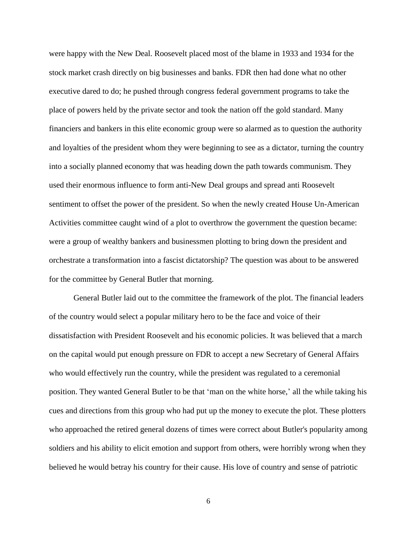were happy with the New Deal. Roosevelt placed most of the blame in 1933 and 1934 for the stock market crash directly on big businesses and banks. FDR then had done what no other executive dared to do; he pushed through congress federal government programs to take the place of powers held by the private sector and took the nation off the gold standard. Many financiers and bankers in this elite economic group were so alarmed as to question the authority and loyalties of the president whom they were beginning to see as a dictator, turning the country into a socially planned economy that was heading down the path towards communism. They used their enormous influence to form anti-New Deal groups and spread anti Roosevelt sentiment to offset the power of the president. So when the newly created House Un-American Activities committee caught wind of a plot to overthrow the government the question became: were a group of wealthy bankers and businessmen plotting to bring down the president and orchestrate a transformation into a fascist dictatorship? The question was about to be answered for the committee by General Butler that morning.

General Butler laid out to the committee the framework of the plot. The financial leaders of the country would select a popular military hero to be the face and voice of their dissatisfaction with President Roosevelt and his economic policies. It was believed that a march on the capital would put enough pressure on FDR to accept a new Secretary of General Affairs who would effectively run the country, while the president was regulated to a ceremonial position. They wanted General Butler to be that "man on the white horse," all the while taking his cues and directions from this group who had put up the money to execute the plot. These plotters who approached the retired general dozens of times were correct about Butler's popularity among soldiers and his ability to elicit emotion and support from others, were horribly wrong when they believed he would betray his country for their cause. His love of country and sense of patriotic

6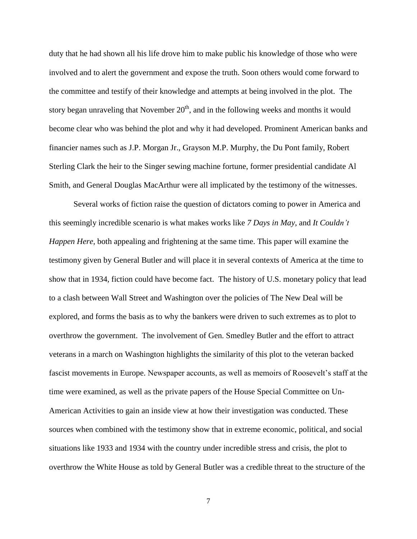duty that he had shown all his life drove him to make public his knowledge of those who were involved and to alert the government and expose the truth. Soon others would come forward to the committee and testify of their knowledge and attempts at being involved in the plot. The story began unraveling that November  $20<sup>th</sup>$ , and in the following weeks and months it would become clear who was behind the plot and why it had developed. Prominent American banks and financier names such as J.P. Morgan Jr., Grayson M.P. Murphy, the Du Pont family, Robert Sterling Clark the heir to the Singer sewing machine fortune, former presidential candidate Al Smith, and General Douglas MacArthur were all implicated by the testimony of the witnesses.

Several works of fiction raise the question of dictators coming to power in America and this seemingly incredible scenario is what makes works like *7 Days in May*, and *It Couldn't Happen Here*, both appealing and frightening at the same time. This paper will examine the testimony given by General Butler and will place it in several contexts of America at the time to show that in 1934, fiction could have become fact. The history of U.S. monetary policy that lead to a clash between Wall Street and Washington over the policies of The New Deal will be explored, and forms the basis as to why the bankers were driven to such extremes as to plot to overthrow the government. The involvement of Gen. Smedley Butler and the effort to attract veterans in a march on Washington highlights the similarity of this plot to the veteran backed fascist movements in Europe. Newspaper accounts, as well as memoirs of Roosevelt's staff at the time were examined, as well as the private papers of the House Special Committee on Un-American Activities to gain an inside view at how their investigation was conducted. These sources when combined with the testimony show that in extreme economic, political, and social situations like 1933 and 1934 with the country under incredible stress and crisis, the plot to overthrow the White House as told by General Butler was a credible threat to the structure of the

7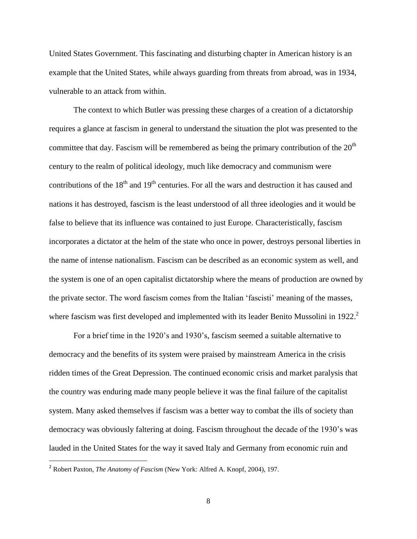United States Government. This fascinating and disturbing chapter in American history is an example that the United States, while always guarding from threats from abroad, was in 1934, vulnerable to an attack from within.

The context to which Butler was pressing these charges of a creation of a dictatorship requires a glance at fascism in general to understand the situation the plot was presented to the committee that day. Fascism will be remembered as being the primary contribution of the  $20<sup>th</sup>$ century to the realm of political ideology, much like democracy and communism were contributions of the  $18<sup>th</sup>$  and  $19<sup>th</sup>$  centuries. For all the wars and destruction it has caused and nations it has destroyed, fascism is the least understood of all three ideologies and it would be false to believe that its influence was contained to just Europe. Characteristically, fascism incorporates a dictator at the helm of the state who once in power, destroys personal liberties in the name of intense nationalism. Fascism can be described as an economic system as well, and the system is one of an open capitalist dictatorship where the means of production are owned by the private sector. The word fascism comes from the Italian "fascisti" meaning of the masses, where fascism was first developed and implemented with its leader Benito Mussolini in 1922.<sup>2</sup>

For a brief time in the 1920"s and 1930"s, fascism seemed a suitable alternative to democracy and the benefits of its system were praised by mainstream America in the crisis ridden times of the Great Depression. The continued economic crisis and market paralysis that the country was enduring made many people believe it was the final failure of the capitalist system. Many asked themselves if fascism was a better way to combat the ills of society than democracy was obviously faltering at doing. Fascism throughout the decade of the 1930's was lauded in the United States for the way it saved Italy and Germany from economic ruin and

<sup>2</sup> Robert Paxton, *The Anatomy of Fascism* (New York: Alfred A. Knopf, 2004), 197.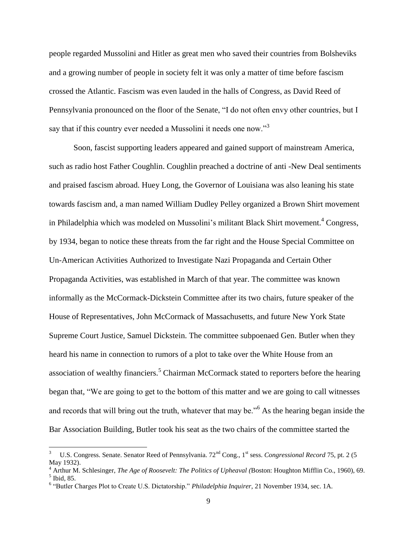people regarded Mussolini and Hitler as great men who saved their countries from Bolsheviks and a growing number of people in society felt it was only a matter of time before fascism crossed the Atlantic. Fascism was even lauded in the halls of Congress, as David Reed of Pennsylvania pronounced on the floor of the Senate, "I do not often envy other countries, but I say that if this country ever needed a Mussolini it needs one now."<sup>3</sup>

Soon, fascist supporting leaders appeared and gained support of mainstream America, such as radio host Father Coughlin. Coughlin preached a doctrine of anti -New Deal sentiments and praised fascism abroad. Huey Long, the Governor of Louisiana was also leaning his state towards fascism and, a man named William Dudley Pelley organized a Brown Shirt movement in Philadelphia which was modeled on Mussolini's militant Black Shirt movement.<sup>4</sup> Congress, by 1934, began to notice these threats from the far right and the House Special Committee on Un-American Activities Authorized to Investigate Nazi Propaganda and Certain Other Propaganda Activities, was established in March of that year. The committee was known informally as the McCormack-Dickstein Committee after its two chairs, future speaker of the House of Representatives, John McCormack of Massachusetts, and future New York State Supreme Court Justice, Samuel Dickstein. The committee subpoenaed Gen. Butler when they heard his name in connection to rumors of a plot to take over the White House from an association of wealthy financiers.<sup>5</sup> Chairman McCormack stated to reporters before the hearing began that, "We are going to get to the bottom of this matter and we are going to call witnesses and records that will bring out the truth, whatever that may be."<sup>6</sup> As the hearing began inside the Bar Association Building, Butler took his seat as the two chairs of the committee started the

 $\overline{a}$ 

<sup>3</sup> U.S. Congress. Senate. Senator Reed of Pennsylvania. 72<sup>nd</sup> Cong., 1<sup>st</sup> sess. *Congressional Record* 75, pt. 2 (5) May 1932).

<sup>4</sup> Arthur M. Schlesinger, *The Age of Roosevelt: The Politics of Upheaval (*Boston: Houghton Mifflin Co., 1960), 69. 5 Ibid, 85.

<sup>6</sup> "Butler Charges Plot to Create U.S. Dictatorship." *Philadelphia Inquirer*, 21 November 1934, sec. 1A.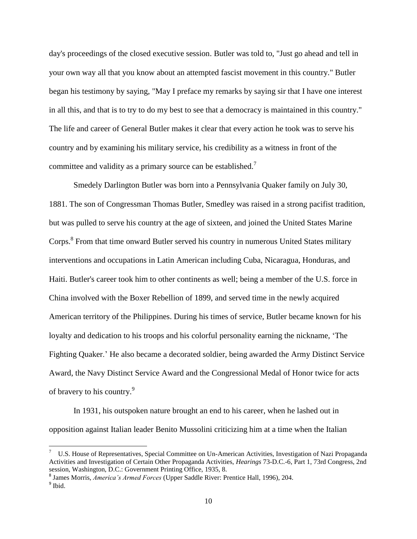day's proceedings of the closed executive session. Butler was told to, "Just go ahead and tell in your own way all that you know about an attempted fascist movement in this country." Butler began his testimony by saying, "May I preface my remarks by saying sir that I have one interest in all this, and that is to try to do my best to see that a democracy is maintained in this country." The life and career of General Butler makes it clear that every action he took was to serve his country and by examining his military service, his credibility as a witness in front of the committee and validity as a primary source can be established.<sup>7</sup>

Smedely Darlington Butler was born into a Pennsylvania Quaker family on July 30, 1881. The son of Congressman Thomas Butler, Smedley was raised in a strong pacifist tradition, but was pulled to serve his country at the age of sixteen, and joined the United States Marine Corps.<sup>8</sup> From that time onward Butler served his country in numerous United States military interventions and occupations in Latin American including Cuba, Nicaragua, Honduras, and Haiti. Butler's career took him to other continents as well; being a member of the U.S. force in China involved with the Boxer Rebellion of 1899, and served time in the newly acquired American territory of the Philippines. During his times of service, Butler became known for his loyalty and dedication to his troops and his colorful personality earning the nickname, "The Fighting Quaker." He also became a decorated soldier, being awarded the Army Distinct Service Award, the Navy Distinct Service Award and the Congressional Medal of Honor twice for acts of bravery to his country.<sup>9</sup>

In 1931, his outspoken nature brought an end to his career, when he lashed out in opposition against Italian leader Benito Mussolini criticizing him at a time when the Italian

 $\overline{a}$ 

<sup>7</sup> U.S. House of Representatives, Special Committee on Un-American Activities, Investigation of Nazi Propaganda Activities and Investigation of Certain Other Propaganda Activities, *Hearings* 73-D.C.-6, Part 1, 73rd Congress, 2nd session, Washington, D.C.: Government Printing Office, 1935, 8.

<sup>8</sup> James Morris, *America's Armed Forces* (Upper Saddle River: Prentice Hall, 1996), 204.

<sup>&</sup>lt;sup>9</sup> Ibid.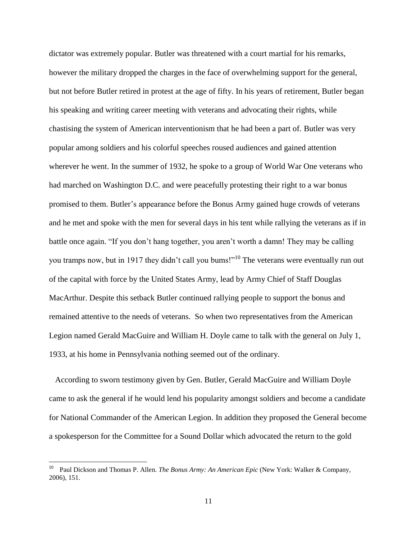dictator was extremely popular. Butler was threatened with a court martial for his remarks, however the military dropped the charges in the face of overwhelming support for the general, but not before Butler retired in protest at the age of fifty. In his years of retirement, Butler began his speaking and writing career meeting with veterans and advocating their rights, while chastising the system of American interventionism that he had been a part of. Butler was very popular among soldiers and his colorful speeches roused audiences and gained attention wherever he went. In the summer of 1932, he spoke to a group of World War One veterans who had marched on Washington D.C. and were peacefully protesting their right to a war bonus promised to them. Butler"s appearance before the Bonus Army gained huge crowds of veterans and he met and spoke with the men for several days in his tent while rallying the veterans as if in battle once again. "If you don"t hang together, you aren"t worth a damn! They may be calling you tramps now, but in 1917 they didn't call you bums!"<sup>10</sup> The veterans were eventually run out of the capital with force by the United States Army, lead by Army Chief of Staff Douglas MacArthur. Despite this setback Butler continued rallying people to support the bonus and remained attentive to the needs of veterans. So when two representatives from the American Legion named Gerald MacGuire and William H. Doyle came to talk with the general on July 1, 1933, at his home in Pennsylvania nothing seemed out of the ordinary.

 According to sworn testimony given by Gen. Butler, Gerald MacGuire and William Doyle came to ask the general if he would lend his popularity amongst soldiers and become a candidate for National Commander of the American Legion. In addition they proposed the General become a spokesperson for the Committee for a Sound Dollar which advocated the return to the gold

 10 Paul Dickson and Thomas P. Allen. *The Bonus Army: An American Epic* (New York: Walker & Company, 2006), 151.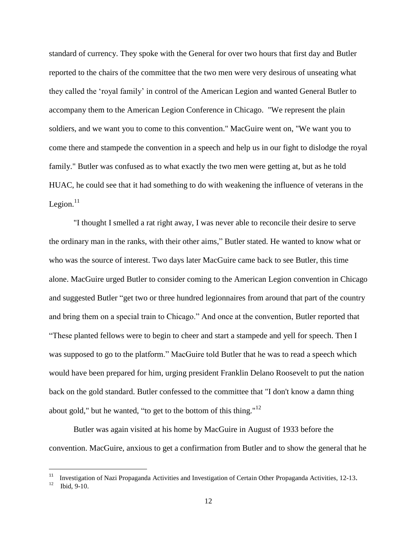standard of currency. They spoke with the General for over two hours that first day and Butler reported to the chairs of the committee that the two men were very desirous of unseating what they called the "royal family" in control of the American Legion and wanted General Butler to accompany them to the American Legion Conference in Chicago. "We represent the plain soldiers, and we want you to come to this convention." MacGuire went on, "We want you to come there and stampede the convention in a speech and help us in our fight to dislodge the royal family." Butler was confused as to what exactly the two men were getting at, but as he told HUAC, he could see that it had something to do with weakening the influence of veterans in the Legion. $11$ 

"I thought I smelled a rat right away, I was never able to reconcile their desire to serve the ordinary man in the ranks, with their other aims," Butler stated. He wanted to know what or who was the source of interest. Two days later MacGuire came back to see Butler, this time alone. MacGuire urged Butler to consider coming to the American Legion convention in Chicago and suggested Butler "get two or three hundred legionnaires from around that part of the country and bring them on a special train to Chicago." And once at the convention, Butler reported that "These planted fellows were to begin to cheer and start a stampede and yell for speech. Then I was supposed to go to the platform." MacGuire told Butler that he was to read a speech which would have been prepared for him, urging president Franklin Delano Roosevelt to put the nation back on the gold standard. Butler confessed to the committee that "I don't know a damn thing about gold," but he wanted, "to get to the bottom of this thing." $12$ 

Butler was again visited at his home by MacGuire in August of 1933 before the convention. MacGuire, anxious to get a confirmation from Butler and to show the general that he

<sup>11</sup> Investigation of Nazi Propaganda Activities and Investigation of Certain Other Propaganda Activities, 12-13.

<sup>12</sup> Ibid, 9-10.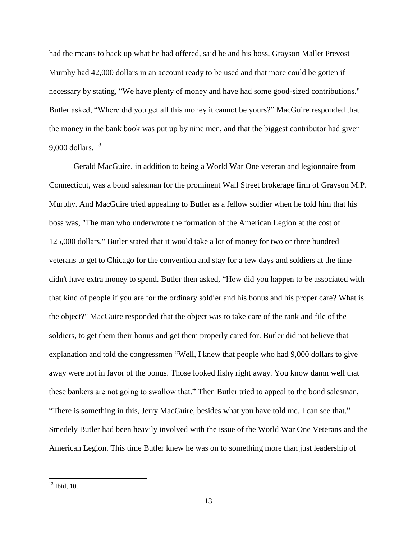had the means to back up what he had offered, said he and his boss, Grayson Mallet Prevost Murphy had 42,000 dollars in an account ready to be used and that more could be gotten if necessary by stating, "We have plenty of money and have had some good-sized contributions." Butler asked, "Where did you get all this money it cannot be yours?" MacGuire responded that the money in the bank book was put up by nine men, and that the biggest contributor had given 9,000 dollars.  $^{13}$ 

Gerald MacGuire, in addition to being a World War One veteran and legionnaire from Connecticut, was a bond salesman for the prominent Wall Street brokerage firm of Grayson M.P. Murphy. And MacGuire tried appealing to Butler as a fellow soldier when he told him that his boss was, "The man who underwrote the formation of the American Legion at the cost of 125,000 dollars." Butler stated that it would take a lot of money for two or three hundred veterans to get to Chicago for the convention and stay for a few days and soldiers at the time didn't have extra money to spend. Butler then asked, "How did you happen to be associated with that kind of people if you are for the ordinary soldier and his bonus and his proper care? What is the object?" MacGuire responded that the object was to take care of the rank and file of the soldiers, to get them their bonus and get them properly cared for. Butler did not believe that explanation and told the congressmen "Well, I knew that people who had 9,000 dollars to give away were not in favor of the bonus. Those looked fishy right away. You know damn well that these bankers are not going to swallow that." Then Butler tried to appeal to the bond salesman, "There is something in this, Jerry MacGuire, besides what you have told me. I can see that." Smedely Butler had been heavily involved with the issue of the World War One Veterans and the American Legion. This time Butler knew he was on to something more than just leadership of

 $13$  Ibid, 10.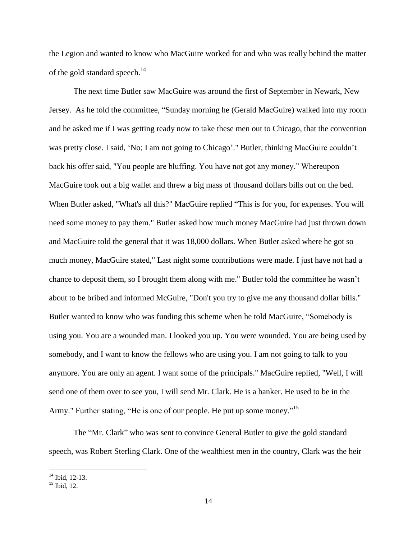the Legion and wanted to know who MacGuire worked for and who was really behind the matter of the gold standard speech.<sup>14</sup>

The next time Butler saw MacGuire was around the first of September in Newark, New Jersey. As he told the committee, "Sunday morning he (Gerald MacGuire) walked into my room and he asked me if I was getting ready now to take these men out to Chicago, that the convention was pretty close. I said, 'No; I am not going to Chicago'." Butler, thinking MacGuire couldn't back his offer said, "You people are bluffing. You have not got any money." Whereupon MacGuire took out a big wallet and threw a big mass of thousand dollars bills out on the bed. When Butler asked, "What's all this?" MacGuire replied "This is for you, for expenses. You will need some money to pay them." Butler asked how much money MacGuire had just thrown down and MacGuire told the general that it was 18,000 dollars. When Butler asked where he got so much money, MacGuire stated," Last night some contributions were made. I just have not had a chance to deposit them, so I brought them along with me." Butler told the committee he wasn"t about to be bribed and informed McGuire, "Don't you try to give me any thousand dollar bills." Butler wanted to know who was funding this scheme when he told MacGuire, "Somebody is using you. You are a wounded man. I looked you up. You were wounded. You are being used by somebody, and I want to know the fellows who are using you. I am not going to talk to you anymore. You are only an agent. I want some of the principals." MacGuire replied, "Well, I will send one of them over to see you, I will send Mr. Clark. He is a banker. He used to be in the Army." Further stating, "He is one of our people. He put up some money."<sup>15</sup>

The "Mr. Clark" who was sent to convince General Butler to give the gold standard speech, was Robert Sterling Clark. One of the wealthiest men in the country, Clark was the heir

 $14$  Ibid, 12-13.

 $15$  Ibid, 12.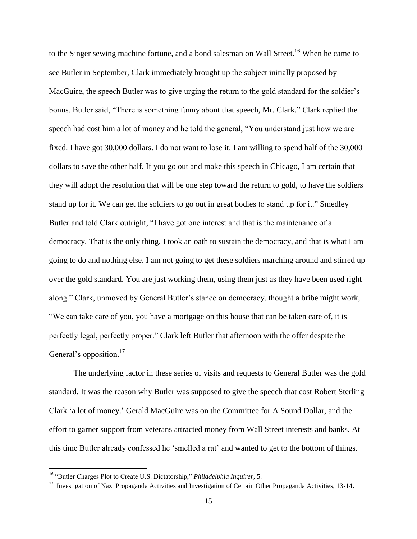to the Singer sewing machine fortune, and a bond salesman on Wall Street.<sup>16</sup> When he came to see Butler in September, Clark immediately brought up the subject initially proposed by MacGuire, the speech Butler was to give urging the return to the gold standard for the soldier's bonus. Butler said, "There is something funny about that speech, Mr. Clark." Clark replied the speech had cost him a lot of money and he told the general, "You understand just how we are fixed. I have got 30,000 dollars. I do not want to lose it. I am willing to spend half of the 30,000 dollars to save the other half. If you go out and make this speech in Chicago, I am certain that they will adopt the resolution that will be one step toward the return to gold, to have the soldiers stand up for it. We can get the soldiers to go out in great bodies to stand up for it." Smedley Butler and told Clark outright, "I have got one interest and that is the maintenance of a democracy. That is the only thing. I took an oath to sustain the democracy, and that is what I am going to do and nothing else. I am not going to get these soldiers marching around and stirred up over the gold standard. You are just working them, using them just as they have been used right along." Clark, unmoved by General Butler"s stance on democracy, thought a bribe might work, "We can take care of you, you have a mortgage on this house that can be taken care of, it is perfectly legal, perfectly proper." Clark left Butler that afternoon with the offer despite the General's opposition.<sup>17</sup>

The underlying factor in these series of visits and requests to General Butler was the gold standard. It was the reason why Butler was supposed to give the speech that cost Robert Sterling Clark "a lot of money." Gerald MacGuire was on the Committee for A Sound Dollar, and the effort to garner support from veterans attracted money from Wall Street interests and banks. At this time Butler already confessed he "smelled a rat" and wanted to get to the bottom of things.

<sup>16</sup> "Butler Charges Plot to Create U.S. Dictatorship," *Philadelphia Inquirer*, 5.

<sup>&</sup>lt;sup>17</sup> Investigation of Nazi Propaganda Activities and Investigation of Certain Other Propaganda Activities, 13-14.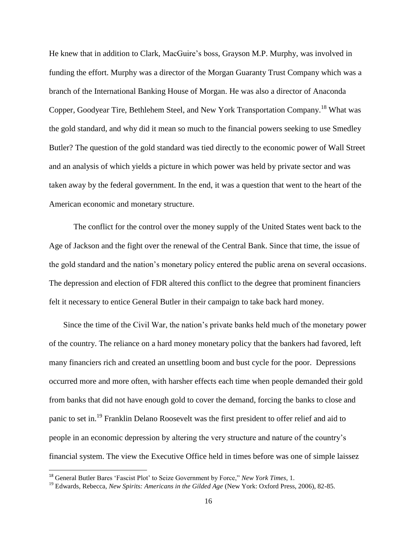He knew that in addition to Clark, MacGuire"s boss, Grayson M.P. Murphy, was involved in funding the effort. Murphy was a director of the Morgan Guaranty Trust Company which was a branch of the International Banking House of Morgan. He was also a director of Anaconda Copper, Goodyear Tire, Bethlehem Steel, and New York Transportation Company.<sup>18</sup> What was the gold standard, and why did it mean so much to the financial powers seeking to use Smedley Butler? The question of the gold standard was tied directly to the economic power of Wall Street and an analysis of which yields a picture in which power was held by private sector and was taken away by the federal government. In the end, it was a question that went to the heart of the American economic and monetary structure.

The conflict for the control over the money supply of the United States went back to the Age of Jackson and the fight over the renewal of the Central Bank. Since that time, the issue of the gold standard and the nation"s monetary policy entered the public arena on several occasions. The depression and election of FDR altered this conflict to the degree that prominent financiers felt it necessary to entice General Butler in their campaign to take back hard money.

 Since the time of the Civil War, the nation"s private banks held much of the monetary power of the country. The reliance on a hard money monetary policy that the bankers had favored, left many financiers rich and created an unsettling boom and bust cycle for the poor. Depressions occurred more and more often, with harsher effects each time when people demanded their gold from banks that did not have enough gold to cover the demand, forcing the banks to close and panic to set in.<sup>19</sup> Franklin Delano Roosevelt was the first president to offer relief and aid to people in an economic depression by altering the very structure and nature of the country"s financial system. The view the Executive Office held in times before was one of simple laissez

<sup>18</sup> General Butler Bares "Fascist Plot" to Seize Government by Force," *New York Times*, 1.

<sup>19</sup> Edwards, Rebecca*, New Spirits: Americans in the Gilded Age* (New York: Oxford Press, 2006), 82-85.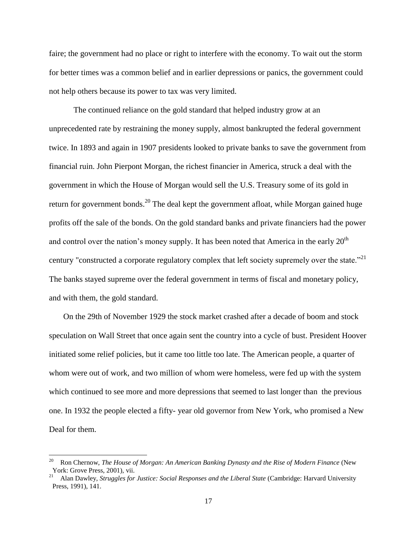faire; the government had no place or right to interfere with the economy. To wait out the storm for better times was a common belief and in earlier depressions or panics, the government could not help others because its power to tax was very limited.

The continued reliance on the gold standard that helped industry grow at an unprecedented rate by restraining the money supply, almost bankrupted the federal government twice. In 1893 and again in 1907 presidents looked to private banks to save the government from financial ruin. John Pierpont Morgan, the richest financier in America, struck a deal with the government in which the House of Morgan would sell the U.S. Treasury some of its gold in return for government bonds.<sup>20</sup> The deal kept the government afloat, while Morgan gained huge profits off the sale of the bonds. On the gold standard banks and private financiers had the power and control over the nation's money supply. It has been noted that America in the early  $20<sup>th</sup>$ century "constructed a corporate regulatory complex that left society supremely over the state."<sup>21</sup> The banks stayed supreme over the federal government in terms of fiscal and monetary policy, and with them, the gold standard.

 On the 29th of November 1929 the stock market crashed after a decade of boom and stock speculation on Wall Street that once again sent the country into a cycle of bust. President Hoover initiated some relief policies, but it came too little too late. The American people, a quarter of whom were out of work, and two million of whom were homeless, were fed up with the system which continued to see more and more depressions that seemed to last longer than the previous one. In 1932 the people elected a fifty- year old governor from New York, who promised a New Deal for them.

<sup>20</sup> Ron Chernow, *The House of Morgan: An American Banking Dynasty and the Rise of Modern Finance* (New York: Grove Press, 2001), vii.

Alan Dawley, *Struggles for Justice: Social Responses and the Liberal State* (Cambridge: Harvard University Press, 1991), 141.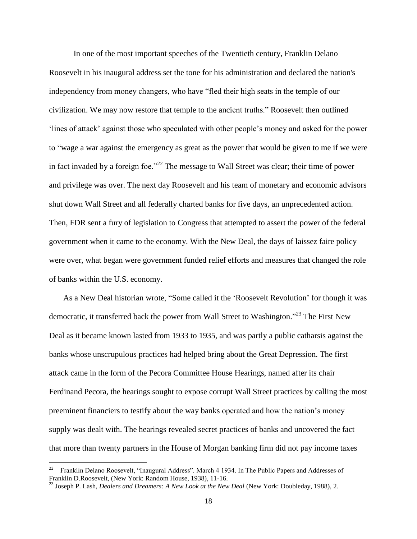In one of the most important speeches of the Twentieth century, Franklin Delano Roosevelt in his inaugural address set the tone for his administration and declared the nation's independency from money changers, who have "fled their high seats in the temple of our civilization. We may now restore that temple to the ancient truths." Roosevelt then outlined "lines of attack" against those who speculated with other people"s money and asked for the power to "wage a war against the emergency as great as the power that would be given to me if we were in fact invaded by a foreign foe."<sup>22</sup> The message to Wall Street was clear; their time of power and privilege was over. The next day Roosevelt and his team of monetary and economic advisors shut down Wall Street and all federally charted banks for five days, an unprecedented action. Then, FDR sent a fury of legislation to Congress that attempted to assert the power of the federal government when it came to the economy. With the New Deal, the days of laissez faire policy were over, what began were government funded relief efforts and measures that changed the role of banks within the U.S. economy.

 As a New Deal historian wrote, "Some called it the "Roosevelt Revolution" for though it was democratic, it transferred back the power from Wall Street to Washington."<sup>23</sup> The First New Deal as it became known lasted from 1933 to 1935, and was partly a public catharsis against the banks whose unscrupulous practices had helped bring about the Great Depression. The first attack came in the form of the Pecora Committee House Hearings, named after its chair Ferdinand Pecora, the hearings sought to expose corrupt Wall Street practices by calling the most preeminent financiers to testify about the way banks operated and how the nation"s money supply was dealt with. The hearings revealed secret practices of banks and uncovered the fact that more than twenty partners in the House of Morgan banking firm did not pay income taxes

<sup>22</sup> Franklin Delano Roosevelt, "Inaugural Address". March 4 1934. In The Public Papers and Addresses of Franklin D.Roosevelt, (New York: Random House, 1938), 11-16.

<sup>&</sup>lt;sup>23</sup> Joseph P. Lash, *Dealers and Dreamers: A New Look at the New Deal* (New York: Doubleday, 1988), 2.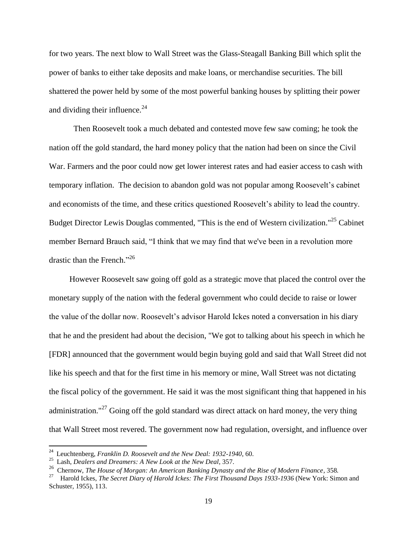for two years. The next blow to Wall Street was the Glass-Steagall Banking Bill which split the power of banks to either take deposits and make loans, or merchandise securities. The bill shattered the power held by some of the most powerful banking houses by splitting their power and dividing their influence. $24$ 

Then Roosevelt took a much debated and contested move few saw coming; he took the nation off the gold standard, the hard money policy that the nation had been on since the Civil War. Farmers and the poor could now get lower interest rates and had easier access to cash with temporary inflation. The decision to abandon gold was not popular among Roosevelt's cabinet and economists of the time, and these critics questioned Roosevelt"s ability to lead the country. Budget Director Lewis Douglas commented, "This is the end of Western civilization."<sup>25</sup> Cabinet member Bernard Brauch said, "I think that we may find that we've been in a revolution more drastic than the French."<sup>26</sup>

 However Roosevelt saw going off gold as a strategic move that placed the control over the monetary supply of the nation with the federal government who could decide to raise or lower the value of the dollar now. Roosevelt"s advisor Harold Ickes noted a conversation in his diary that he and the president had about the decision, "We got to talking about his speech in which he [FDR] announced that the government would begin buying gold and said that Wall Street did not like his speech and that for the first time in his memory or mine, Wall Street was not dictating the fiscal policy of the government. He said it was the most significant thing that happened in his administration."<sup>27</sup> Going off the gold standard was direct attack on hard money, the very thing that Wall Street most revered. The government now had regulation, oversight, and influence over

 24 Leuchtenberg, *Franklin D. Roosevelt and the New Deal: 1932-1940*, 60.

<sup>25</sup> Lash, *Dealers and Dreamers: A New Look at the New Deal*, 357.

<sup>&</sup>lt;sup>26</sup> Chernow, *The House of Morgan: An American Banking Dynasty and the Rise of Modern Finance, 358.* 

<sup>27</sup> Harold Ickes, *The Secret Diary of Harold Ickes: The First Thousand Days 1933-1936* (New York: Simon and Schuster, 1955), 113.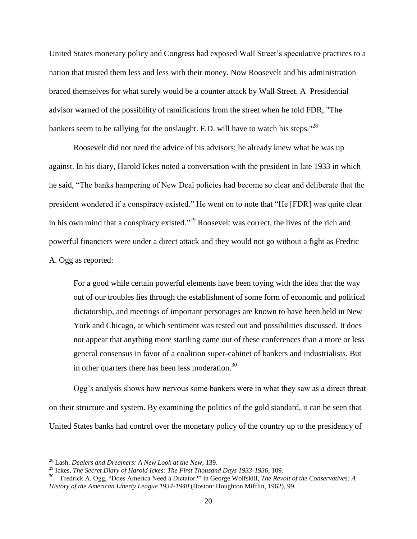United States monetary policy and Congress had exposed Wall Street"s speculative practices to a nation that trusted them less and less with their money. Now Roosevelt and his administration braced themselves for what surely would be a counter attack by Wall Street. A Presidential advisor warned of the possibility of ramifications from the street when he told FDR, "The bankers seem to be rallying for the onslaught. F.D. will have to watch his steps."<sup>28</sup>

Roosevelt did not need the advice of his advisors; he already knew what he was up against. In his diary, Harold Ickes noted a conversation with the president in late 1933 in which he said, "The banks hampering of New Deal policies had become so clear and deliberate that the president wondered if a conspiracy existed." He went on to note that "He [FDR] was quite clear in his own mind that a conspiracy existed."<sup>29</sup> Roosevelt was correct, the lives of the rich and powerful financiers were under a direct attack and they would not go without a fight as Fredric A. Ogg as reported:

For a good while certain powerful elements have been toying with the idea that the way out of our troubles lies through the establishment of some form of economic and political dictatorship, and meetings of important personages are known to have been held in New York and Chicago, at which sentiment was tested out and possibilities discussed. It does not appear that anything more startling came out of these conferences than a more or less general consensus in favor of a coalition super-cabinet of bankers and industrialists. But in other quarters there has been less moderation.<sup>30</sup>

Ogg"s analysis shows how nervous some bankers were in what they saw as a direct threat on their structure and system. By examining the politics of the gold standard, it can be seen that United States banks had control over the monetary policy of the country up to the presidency of

<sup>28</sup> Lash, *Dealers and Dreamers: A New Look at the New*, 139.

<sup>29</sup> Ickes, *The Secret Diary of Harold Ickes: The First Thousand Days 1933-1936*, 109.

<sup>30</sup> Fredrick A. Ogg, "Does America Need a Dictator?" in George Wolfskill, *The Revolt of the Conservatives: A History of the American Liberty League 1934-1940* (Boston: Houghton Mifflin, 1962), 99.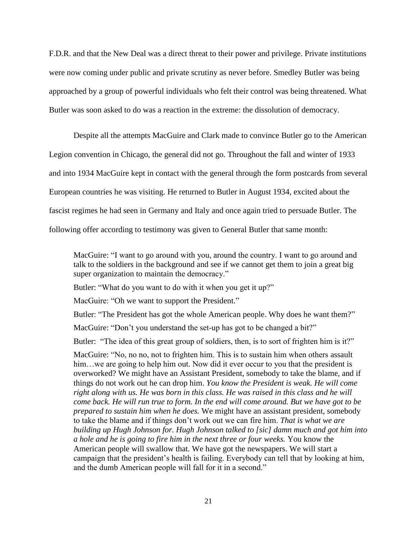F.D.R. and that the New Deal was a direct threat to their power and privilege. Private institutions were now coming under public and private scrutiny as never before. Smedley Butler was being approached by a group of powerful individuals who felt their control was being threatened. What Butler was soon asked to do was a reaction in the extreme: the dissolution of democracy.

Despite all the attempts MacGuire and Clark made to convince Butler go to the American Legion convention in Chicago, the general did not go. Throughout the fall and winter of 1933 and into 1934 MacGuire kept in contact with the general through the form postcards from several European countries he was visiting. He returned to Butler in August 1934, excited about the fascist regimes he had seen in Germany and Italy and once again tried to persuade Butler. The following offer according to testimony was given to General Butler that same month:

MacGuire: "I want to go around with you, around the country. I want to go around and talk to the soldiers in the background and see if we cannot get them to join a great big super organization to maintain the democracy."

Butler: "What do you want to do with it when you get it up?"

MacGuire: "Oh we want to support the President."

Butler: "The President has got the whole American people. Why does he want them?"

MacGuire: "Don't you understand the set-up has got to be changed a bit?"

Butler: "The idea of this great group of soldiers, then, is to sort of frighten him is it?"

MacGuire: "No, no no, not to frighten him. This is to sustain him when others assault him...we are going to help him out. Now did it ever occur to you that the president is overworked? We might have an Assistant President, somebody to take the blame, and if things do not work out he can drop him. *You know the President is weak. He will come right along with us. He was born in this class. He was raised in this class and he will come back. He will run true to form. In the end will come around. But we have got to be prepared to sustain him when he does.* We might have an assistant president, somebody to take the blame and if things don"t work out we can fire him. *That is what we are building up Hugh Johnson for. Hugh Johnson talked to [sic] damn much and got him into a hole and he is going to fire him in the next three or four weeks.* You know the American people will swallow that. We have got the newspapers. We will start a campaign that the president"s health is failing. Everybody can tell that by looking at him, and the dumb American people will fall for it in a second."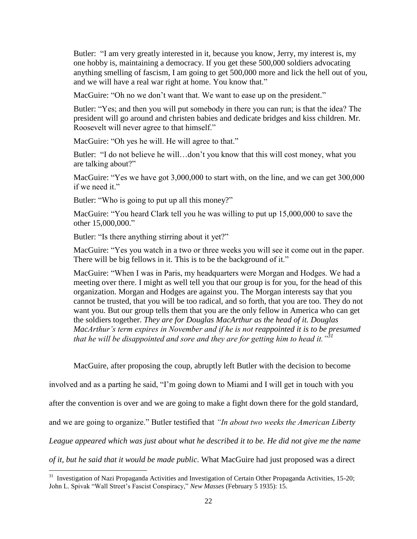Butler: "I am very greatly interested in it, because you know, Jerry, my interest is, my one hobby is, maintaining a democracy. If you get these 500,000 soldiers advocating anything smelling of fascism, I am going to get 500,000 more and lick the hell out of you, and we will have a real war right at home. You know that."

MacGuire: "Oh no we don't want that. We want to ease up on the president."

Butler: "Yes; and then you will put somebody in there you can run; is that the idea? The president will go around and christen babies and dedicate bridges and kiss children. Mr. Roosevelt will never agree to that himself."

MacGuire: "Oh yes he will. He will agree to that."

Butler: "I do not believe he will...don't you know that this will cost money, what you are talking about?"

MacGuire: "Yes we have got 3,000,000 to start with, on the line, and we can get 300,000 if we need it."

Butler: "Who is going to put up all this money?"

MacGuire: "You heard Clark tell you he was willing to put up 15,000,000 to save the other 15,000,000."

Butler: "Is there anything stirring about it yet?"

 $\overline{\phantom{a}}$ 

MacGuire: "Yes you watch in a two or three weeks you will see it come out in the paper. There will be big fellows in it. This is to be the background of it."

MacGuire: "When I was in Paris, my headquarters were Morgan and Hodges. We had a meeting over there. I might as well tell you that our group is for you, for the head of this organization. Morgan and Hodges are against you. The Morgan interests say that you cannot be trusted, that you will be too radical, and so forth, that you are too. They do not want you. But our group tells them that you are the only fellow in America who can get the soldiers together. *They are for Douglas MacArthur as the head of it. Douglas MacArthur's term expires in November and if he is not reappointed it is to be presumed that he will be disappointed and sore and they are for getting him to head it."<sup>31</sup>*

MacGuire, after proposing the coup, abruptly left Butler with the decision to become

involved and as a parting he said, "I"m going down to Miami and I will get in touch with you

after the convention is over and we are going to make a fight down there for the gold standard,

and we are going to organize." Butler testified that *"In about two weeks the American Liberty* 

*League appeared which was just about what he described it to be. He did not give me the name* 

*of it, but he said that it would be made public.* What MacGuire had just proposed was a direct

 $31$  Investigation of Nazi Propaganda Activities and Investigation of Certain Other Propaganda Activities, 15-20; John L. Spivak "Wall Street"s Fascist Conspiracy," *New Masses* (February 5 1935): 15.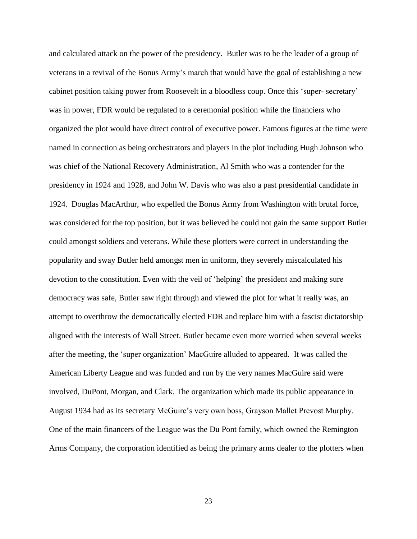and calculated attack on the power of the presidency. Butler was to be the leader of a group of veterans in a revival of the Bonus Army"s march that would have the goal of establishing a new cabinet position taking power from Roosevelt in a bloodless coup. Once this "super- secretary" was in power, FDR would be regulated to a ceremonial position while the financiers who organized the plot would have direct control of executive power. Famous figures at the time were named in connection as being orchestrators and players in the plot including Hugh Johnson who was chief of the National Recovery Administration, Al Smith who was a contender for the presidency in 1924 and 1928, and John W. Davis who was also a past presidential candidate in 1924. Douglas MacArthur, who expelled the Bonus Army from Washington with brutal force, was considered for the top position, but it was believed he could not gain the same support Butler could amongst soldiers and veterans. While these plotters were correct in understanding the popularity and sway Butler held amongst men in uniform, they severely miscalculated his devotion to the constitution. Even with the veil of 'helping' the president and making sure democracy was safe, Butler saw right through and viewed the plot for what it really was, an attempt to overthrow the democratically elected FDR and replace him with a fascist dictatorship aligned with the interests of Wall Street. Butler became even more worried when several weeks after the meeting, the "super organization" MacGuire alluded to appeared. It was called the American Liberty League and was funded and run by the very names MacGuire said were involved, DuPont, Morgan, and Clark. The organization which made its public appearance in August 1934 had as its secretary McGuire's very own boss, Grayson Mallet Prevost Murphy. One of the main financers of the League was the Du Pont family, which owned the Remington Arms Company, the corporation identified as being the primary arms dealer to the plotters when

23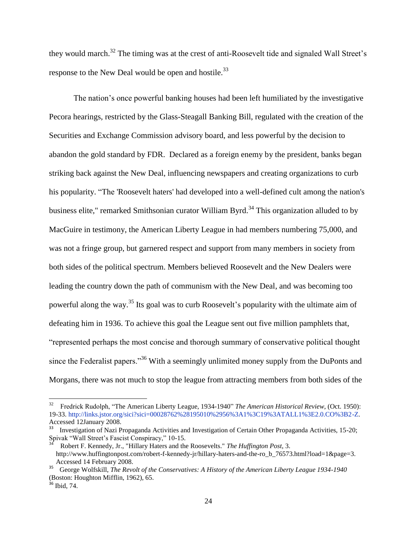they would march.<sup>32</sup> The timing was at the crest of anti-Roosevelt tide and signaled Wall Street's response to the New Deal would be open and hostile.<sup>33</sup>

The nation"s once powerful banking houses had been left humiliated by the investigative Pecora hearings, restricted by the Glass-Steagall Banking Bill, regulated with the creation of the Securities and Exchange Commission advisory board, and less powerful by the decision to abandon the gold standard by FDR. Declared as a foreign enemy by the president, banks began striking back against the New Deal, influencing newspapers and creating organizations to curb his popularity. "The 'Roosevelt haters' had developed into a well-defined cult among the nation's business elite," remarked Smithsonian curator William Byrd.<sup>34</sup> This organization alluded to by MacGuire in testimony, the American Liberty League in had members numbering 75,000, and was not a fringe group, but garnered respect and support from many members in society from both sides of the political spectrum. Members believed Roosevelt and the New Dealers were leading the country down the path of communism with the New Deal, and was becoming too powerful along the way.<sup>35</sup> Its goal was to curb Roosevelt's popularity with the ultimate aim of defeating him in 1936. To achieve this goal the League sent out five million pamphlets that, "represented perhaps the most concise and thorough summary of conservative political thought since the Federalist papers."<sup>36</sup> With a seemingly unlimited money supply from the DuPonts and Morgans, there was not much to stop the league from attracting members from both sides of the

 $\overline{a}$ 

<sup>32</sup> Fredrick Rudolph, ["The American Liberty League, 1934-1940"](http://www.jstor.org/view/00028762/di951286/95p0243f/0?frame=noframe&userID=891c3797@uwec.edu/01c0a80a6400501cfd252&dpi=3&config=jstor) *The American Historical Review*, (Oct. 1950): 19-33. [http://links.jstor.org/sici?sici=00028762%28195010%2956%3A1%3C19%3ATALL1%3E2.0.CO%3B2-Z.](http://links.jstor.org/sici?sici=0002-8762%28195010%2956%3A1%3C19%3ATALL1%3E2.0.CO%3B2-Z)  Accessed 12January 2008.

<sup>33</sup> Investigation of Nazi Propaganda Activities and Investigation of Certain Other Propaganda Activities, 15-20; Spivak "Wall Street"s Fascist Conspiracy," 10-15.

<sup>34</sup> Robert F. Kennedy, Jr., "Hillary Haters and the Roosevelts." *The Huffington Post*, 3. http://www.huffingtonpost.com/robert-f-kennedy-jr/hillary-haters-and-the-ro\_b\_76573.html?load=1&page=3. Accessed 14 February 2008. 35 George Wolfskill, *The Revolt of the Conservatives: A History of the American Liberty League 1934-1940*

<sup>(</sup>Boston: Houghton Mifflin, 1962), 65.

 $36$  Ibid, 74.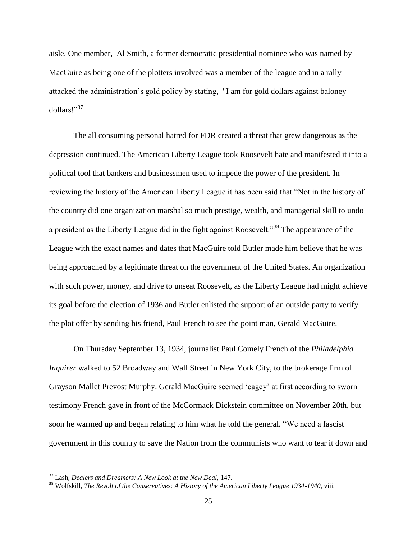aisle. One member, Al Smith, a former democratic presidential nominee who was named by MacGuire as being one of the plotters involved was a member of the league and in a rally attacked the administration"s gold policy by stating, "I am for gold dollars against baloney dollars!" 37

The all consuming personal hatred for FDR created a threat that grew dangerous as the depression continued. The American Liberty League took Roosevelt hate and manifested it into a political tool that bankers and businessmen used to impede the power of the president. In reviewing the history of the American Liberty League it has been said that "Not in the history of the country did one organization marshal so much prestige, wealth, and managerial skill to undo a president as the Liberty League did in the fight against Roosevelt.<sup>38</sup> The appearance of the League with the exact names and dates that MacGuire told Butler made him believe that he was being approached by a legitimate threat on the government of the United States. An organization with such power, money, and drive to unseat Roosevelt, as the Liberty League had might achieve its goal before the election of 1936 and Butler enlisted the support of an outside party to verify the plot offer by sending his friend, Paul French to see the point man, Gerald MacGuire.

On Thursday September 13, 1934, journalist Paul Comely French of the *Philadelphia Inquirer* walked to 52 Broadway and Wall Street in New York City, to the brokerage firm of Grayson Mallet Prevost Murphy. Gerald MacGuire seemed "cagey" at first according to sworn testimony French gave in front of the McCormack Dickstein committee on November 20th, but soon he warmed up and began relating to him what he told the general. "We need a fascist government in this country to save the Nation from the communists who want to tear it down and

<sup>37</sup> Lash, *Dealers and Dreamers: A New Look at the New Deal*, 147.

<sup>38</sup> Wolfskill, *The Revolt of the Conservatives: A History of the American Liberty League 1934-1940*, viii.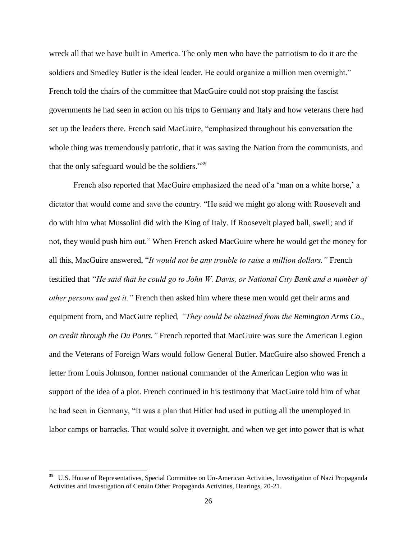wreck all that we have built in America. The only men who have the patriotism to do it are the soldiers and Smedley Butler is the ideal leader. He could organize a million men overnight." French told the chairs of the committee that MacGuire could not stop praising the fascist governments he had seen in action on his trips to Germany and Italy and how veterans there had set up the leaders there. French said MacGuire, "emphasized throughout his conversation the whole thing was tremendously patriotic, that it was saving the Nation from the communists, and that the only safeguard would be the soldiers."<sup>39</sup>

French also reported that MacGuire emphasized the need of a 'man on a white horse,' a dictator that would come and save the country. "He said we might go along with Roosevelt and do with him what Mussolini did with the King of Italy. If Roosevelt played ball, swell; and if not, they would push him out." When French asked MacGuire where he would get the money for all this, MacGuire answered, "*It would not be any trouble to raise a million dollars."* French testified that *"He said that he could go to John W. Davis, or National City Bank and a number of other persons and get it."* French then asked him where these men would get their arms and equipment from, and MacGuire replied*, "They could be obtained from the Remington Arms Co., on credit through the Du Ponts."* French reported that MacGuire was sure the American Legion and the Veterans of Foreign Wars would follow General Butler. MacGuire also showed French a letter from Louis Johnson, former national commander of the American Legion who was in support of the idea of a plot. French continued in his testimony that MacGuire told him of what he had seen in Germany, "It was a plan that Hitler had used in putting all the unemployed in labor camps or barracks. That would solve it overnight, and when we get into power that is what

<sup>39</sup> U.S. House of Representatives, Special Committee on Un-American Activities, Investigation of Nazi Propaganda Activities and Investigation of Certain Other Propaganda Activities, Hearings, 20-21.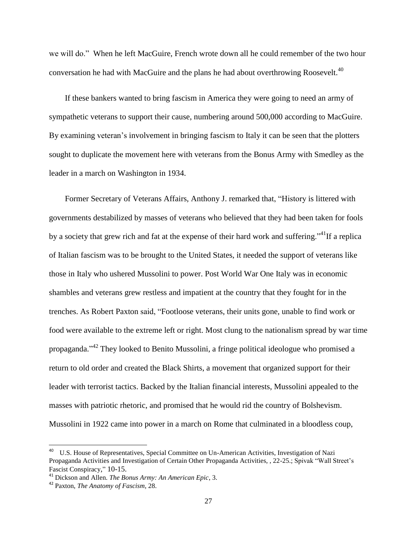we will do." When he left MacGuire, French wrote down all he could remember of the two hour conversation he had with MacGuire and the plans he had about overthrowing Roosevelt.<sup>40</sup>

If these bankers wanted to bring fascism in America they were going to need an army of sympathetic veterans to support their cause, numbering around 500,000 according to MacGuire. By examining veteran's involvement in bringing fascism to Italy it can be seen that the plotters sought to duplicate the movement here with veterans from the Bonus Army with Smedley as the leader in a march on Washington in 1934.

Former Secretary of Veterans Affairs, Anthony J. remarked that, "History is littered with governments destabilized by masses of veterans who believed that they had been taken for fools by a society that grew rich and fat at the expense of their hard work and suffering.<sup>"41</sup>If a replica of Italian fascism was to be brought to the United States, it needed the support of veterans like those in Italy who ushered Mussolini to power. Post World War One Italy was in economic shambles and veterans grew restless and impatient at the country that they fought for in the trenches. As Robert Paxton said, "Footloose veterans, their units gone, unable to find work or food were available to the extreme left or right. Most clung to the nationalism spread by war time propaganda."<sup>42</sup> They looked to Benito Mussolini, a fringe political ideologue who promised a return to old order and created the Black Shirts, a movement that organized support for their leader with terrorist tactics. Backed by the Italian financial interests, Mussolini appealed to the masses with patriotic rhetoric, and promised that he would rid the country of Bolshevism. Mussolini in 1922 came into power in a march on Rome that culminated in a bloodless coup,

<sup>40</sup> U.S. House of Representatives, Special Committee on Un-American Activities, Investigation of Nazi Propaganda Activities and Investigation of Certain Other Propaganda Activities, , 22-25.; Spivak "Wall Street"s Fascist Conspiracy," 10-15.

<sup>41</sup> Dickson and Allen. *The Bonus Army: An American Epic*, 3.

<sup>42</sup> Paxton, *The Anatomy of Fascism*, 28.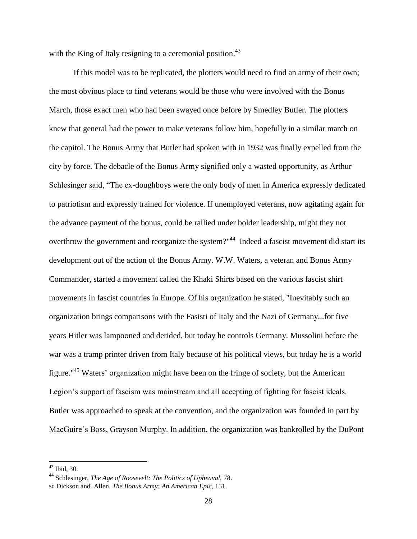with the King of Italy resigning to a ceremonial position.<sup>43</sup>

If this model was to be replicated, the plotters would need to find an army of their own; the most obvious place to find veterans would be those who were involved with the Bonus March, those exact men who had been swayed once before by Smedley Butler. The plotters knew that general had the power to make veterans follow him, hopefully in a similar march on the capitol. The Bonus Army that Butler had spoken with in 1932 was finally expelled from the city by force. The debacle of the Bonus Army signified only a wasted opportunity, as Arthur Schlesinger said, "The ex-doughboys were the only body of men in America expressly dedicated to patriotism and expressly trained for violence. If unemployed veterans, now agitating again for the advance payment of the bonus, could be rallied under bolder leadership, might they not overthrow the government and reorganize the system?"<sup>44</sup> Indeed a fascist movement did start its development out of the action of the Bonus Army. W.W. Waters, a veteran and Bonus Army Commander, started a movement called the Khaki Shirts based on the various fascist shirt movements in fascist countries in Europe. Of his organization he stated, "Inevitably such an organization brings comparisons with the Fasisti of Italy and the Nazi of Germany...for five years Hitler was lampooned and derided, but today he controls Germany. Mussolini before the war was a tramp printer driven from Italy because of his political views, but today he is a world figure."<sup>45</sup> Waters' organization might have been on the fringe of society, but the American Legion's support of fascism was mainstream and all accepting of fighting for fascist ideals. Butler was approached to speak at the convention, and the organization was founded in part by MacGuire's Boss, Grayson Murphy. In addition, the organization was bankrolled by the DuPont

 $43$  Ibid, 30.

<sup>44</sup> Schlesinger, *The Age of Roosevelt: The Politics of Upheaval,* 78.

<sup>50</sup> Dickson and. Allen. *The Bonus Army: An American Epic*, 151.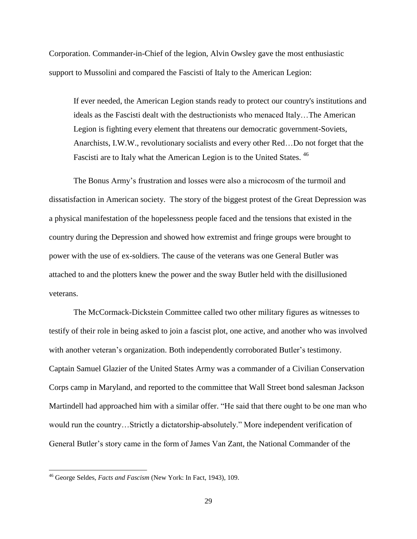Corporation. Commander-in-Chief of the legion, Alvin Owsley gave the most enthusiastic support to Mussolini and compared the Fascisti of Italy to the American Legion:

If ever needed, the American Legion stands ready to protect our country's institutions and ideals as the Fascisti dealt with the destructionists who menaced Italy…The American Legion is fighting every element that threatens our democratic government-Soviets, Anarchists, I.W.W., revolutionary socialists and every other Red…Do not forget that the Fascisti are to Italy what the American Legion is to the United States.<sup>46</sup>

The Bonus Army"s frustration and losses were also a microcosm of the turmoil and dissatisfaction in American society. The story of the biggest protest of the Great Depression was a physical manifestation of the hopelessness people faced and the tensions that existed in the country during the Depression and showed how extremist and fringe groups were brought to power with the use of ex-soldiers. The cause of the veterans was one General Butler was attached to and the plotters knew the power and the sway Butler held with the disillusioned veterans.

The McCormack-Dickstein Committee called two other military figures as witnesses to testify of their role in being asked to join a fascist plot, one active, and another who was involved with another veteran's organization. Both independently corroborated Butler's testimony. Captain Samuel Glazier of the United States Army was a commander of a Civilian Conservation Corps camp in Maryland, and reported to the committee that Wall Street bond salesman Jackson Martindell had approached him with a similar offer. "He said that there ought to be one man who would run the country…Strictly a dictatorship-absolutely." More independent verification of General Butler"s story came in the form of James Van Zant, the National Commander of the

<sup>46</sup> George Seldes, *Facts and Fascism* (New York: In Fact, 1943), 109.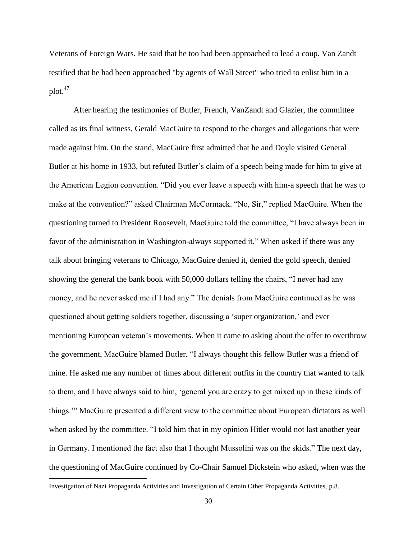Veterans of Foreign Wars. He said that he too had been approached to lead a coup. Van Zandt testified that he had been approached "by agents of Wall Street" who tried to enlist him in a  $plot.<sup>47</sup>$ 

After hearing the testimonies of Butler, French, VanZandt and Glazier, the committee called as its final witness, Gerald MacGuire to respond to the charges and allegations that were made against him. On the stand, MacGuire first admitted that he and Doyle visited General Butler at his home in 1933, but refuted Butler's claim of a speech being made for him to give at the American Legion convention. "Did you ever leave a speech with him-a speech that he was to make at the convention?" asked Chairman McCormack. "No, Sir," replied MacGuire. When the questioning turned to President Roosevelt, MacGuire told the committee, "I have always been in favor of the administration in Washington-always supported it." When asked if there was any talk about bringing veterans to Chicago, MacGuire denied it, denied the gold speech, denied showing the general the bank book with 50,000 dollars telling the chairs, "I never had any money, and he never asked me if I had any." The denials from MacGuire continued as he was questioned about getting soldiers together, discussing a "super organization," and ever mentioning European veteran's movements. When it came to asking about the offer to overthrow the government, MacGuire blamed Butler, "I always thought this fellow Butler was a friend of mine. He asked me any number of times about different outfits in the country that wanted to talk to them, and I have always said to him, "general you are crazy to get mixed up in these kinds of things."" MacGuire presented a different view to the committee about European dictators as well when asked by the committee. "I told him that in my opinion Hitler would not last another year in Germany. I mentioned the fact also that I thought Mussolini was on the skids." The next day, the questioning of MacGuire continued by Co-Chair Samuel Dickstein who asked, when was the  $\overline{\phantom{a}}$ 

Investigation of Nazi Propaganda Activities and Investigation of Certain Other Propaganda Activities, p.8.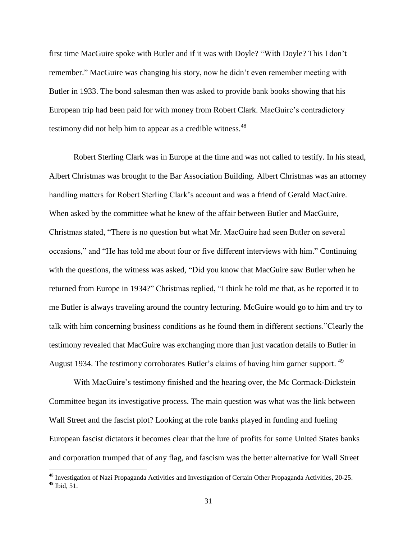first time MacGuire spoke with Butler and if it was with Doyle? "With Doyle? This I don"t remember." MacGuire was changing his story, now he didn"t even remember meeting with Butler in 1933. The bond salesman then was asked to provide bank books showing that his European trip had been paid for with money from Robert Clark. MacGuire"s contradictory testimony did not help him to appear as a credible witness.<sup>48</sup>

Robert Sterling Clark was in Europe at the time and was not called to testify. In his stead, Albert Christmas was brought to the Bar Association Building. Albert Christmas was an attorney handling matters for Robert Sterling Clark"s account and was a friend of Gerald MacGuire. When asked by the committee what he knew of the affair between Butler and MacGuire, Christmas stated, "There is no question but what Mr. MacGuire had seen Butler on several occasions," and "He has told me about four or five different interviews with him." Continuing with the questions, the witness was asked, "Did you know that MacGuire saw Butler when he returned from Europe in 1934?" Christmas replied, "I think he told me that, as he reported it to me Butler is always traveling around the country lecturing. McGuire would go to him and try to talk with him concerning business conditions as he found them in different sections."Clearly the testimony revealed that MacGuire was exchanging more than just vacation details to Butler in August 1934. The testimony corroborates Butler's claims of having him garner support. <sup>49</sup>

With MacGuire's testimony finished and the hearing over, the Mc Cormack-Dickstein Committee began its investigative process. The main question was what was the link between Wall Street and the fascist plot? Looking at the role banks played in funding and fueling European fascist dictators it becomes clear that the lure of profits for some United States banks and corporation trumped that of any flag, and fascism was the better alternative for Wall Street

<sup>&</sup>lt;sup>48</sup> Investigation of Nazi Propaganda Activities and Investigation of Certain Other Propaganda Activities, 20-25. <sup>49</sup> Ibid, 51.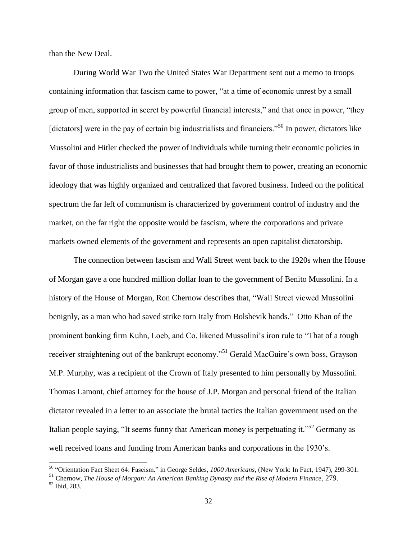than the New Deal.

During World War Two the United States War Department sent out a memo to troops containing information that fascism came to power, "at a time of economic unrest by a small group of men, supported in secret by powerful financial interests," and that once in power, "they [dictators] were in the pay of certain big industrialists and financiers."<sup>50</sup> In power, dictators like Mussolini and Hitler checked the power of individuals while turning their economic policies in favor of those industrialists and businesses that had brought them to power, creating an economic ideology that was highly organized and centralized that favored business. Indeed on the political spectrum the far left of communism is characterized by government control of industry and the market, on the far right the opposite would be fascism, where the corporations and private markets owned elements of the government and represents an open capitalist dictatorship.

The connection between fascism and Wall Street went back to the 1920s when the House of Morgan gave a one hundred million dollar loan to the government of Benito Mussolini. In a history of the House of Morgan, Ron Chernow describes that, "Wall Street viewed Mussolini benignly, as a man who had saved strike torn Italy from Bolshevik hands." Otto Khan of the prominent banking firm Kuhn, Loeb, and Co. likened Mussolini"s iron rule to "That of a tough receiver straightening out of the bankrupt economy."<sup>51</sup> Gerald MacGuire's own boss, Grayson M.P. Murphy, was a recipient of the Crown of Italy presented to him personally by Mussolini. Thomas Lamont, chief attorney for the house of J.P. Morgan and personal friend of the Italian dictator revealed in a letter to an associate the brutal tactics the Italian government used on the Italian people saying, "It seems funny that American money is perpetuating it."<sup>52</sup> Germany as well received loans and funding from American banks and corporations in the 1930"s.

<sup>50</sup> "Orientation Fact Sheet 64: Fascism." in George Seldes, *1000 Americans*, (New York: In Fact, 1947), 299-301.

<sup>51</sup> Chernow, *The House of Morgan: An American Banking Dynasty and the Rise of Modern Finance,* 279.

<sup>52</sup> Ibid, 283.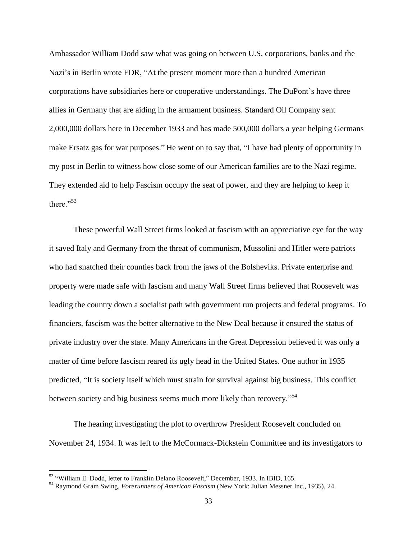Ambassador William Dodd saw what was going on between U.S. corporations, banks and the Nazi's in Berlin wrote FDR, "At the present moment more than a hundred American corporations have subsidiaries here or cooperative understandings. The DuPont"s have three allies in Germany that are aiding in the armament business. Standard Oil Company sent 2,000,000 dollars here in December 1933 and has made 500,000 dollars a year helping Germans make Ersatz gas for war purposes." He went on to say that, "I have had plenty of opportunity in my post in Berlin to witness how close some of our American families are to the Nazi regime. They extended aid to help Fascism occupy the seat of power, and they are helping to keep it there $^{1.53}$ 

These powerful Wall Street firms looked at fascism with an appreciative eye for the way it saved Italy and Germany from the threat of communism, Mussolini and Hitler were patriots who had snatched their counties back from the jaws of the Bolsheviks. Private enterprise and property were made safe with fascism and many Wall Street firms believed that Roosevelt was leading the country down a socialist path with government run projects and federal programs. To financiers, fascism was the better alternative to the New Deal because it ensured the status of private industry over the state. Many Americans in the Great Depression believed it was only a matter of time before fascism reared its ugly head in the United States. One author in 1935 predicted, "It is society itself which must strain for survival against big business. This conflict between society and big business seems much more likely than recovery."<sup>54</sup>

The hearing investigating the plot to overthrow President Roosevelt concluded on November 24, 1934. It was left to the McCormack-Dickstein Committee and its investigators to

<sup>&</sup>lt;sup>53</sup> "William E. Dodd, letter to Franklin Delano Roosevelt," December, 1933. In IBID, 165.

<sup>54</sup> Raymond Gram Swing, *Forerunners of American Fascism* (New York: Julian Messner Inc., 1935), 24.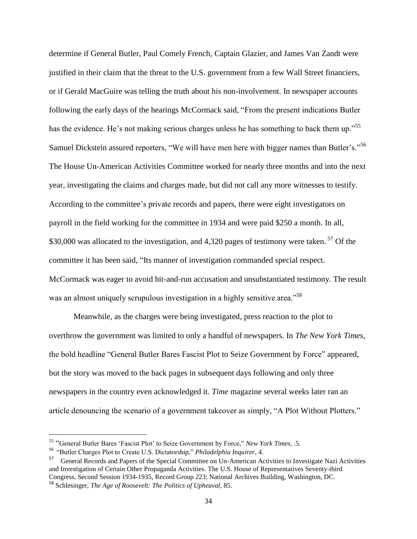determine if General Butler, Paul Comely French, Captain Glazier, and James Van Zandt were justified in their claim that the threat to the U.S. government from a few Wall Street financiers, or if Gerald MacGuire was telling the truth about his non-involvement. In newspaper accounts following the early days of the hearings McCormack said, "From the present indications Butler has the evidence. He's not making serious charges unless he has something to back them up."<sup>55</sup> Samuel Dickstein assured reporters, "We will have men here with bigger names than Butler's."<sup>56</sup> The House Un-American Activities Committee worked for nearly three months and into the next year, investigating the claims and charges made, but did not call any more witnesses to testify. According to the committee"s private records and papers, there were eight investigators on payroll in the field working for the committee in 1934 and were paid \$250 a month. In all, \$30,000 was allocated to the investigation, and 4,320 pages of testimony were taken.<sup>57</sup> Of the committee it has been said, "Its manner of investigation commanded special respect. McCormack was eager to avoid hit-and-run accusation and unsubstantiated testimony. The result was an almost uniquely scrupulous investigation in a highly sensitive area.<sup>558</sup>

Meanwhile, as the charges were being investigated, press reaction to the plot to overthrow the government was limited to only a handful of newspapers. In *The New York Times*, the bold headline "General Butler Bares Fascist Plot to Seize Government by Force" appeared, but the story was moved to the back pages in subsequent days following and only three newspapers in the country even acknowledged it. *Time* magazine several weeks later ran an article denouncing the scenario of a government takeover as simply, "A Plot Without Plotters."

 $\overline{a}$ 

<sup>55</sup> "General Butler Bares "Fascist Plot" to Seize Government by Force," *New York Times*, .5.

<sup>56</sup> "Butler Charges Plot to Create U.S. Dictatorship," *Philadelphia Inquirer*, 4.

<sup>57</sup> General Records and Papers of the Special Committee on Un-American Activities to Investigate Nazi Activities and Investigation of Certain Other Propaganda Activities. The U.S. House of Representatives Seventy-third Congress, Second Session 1934-1935, Record Group 223; National Archives Building, Washington, DC.

<sup>58</sup> Schlesinger, *The Age of Roosevelt: The Politics of Upheaval*, 85.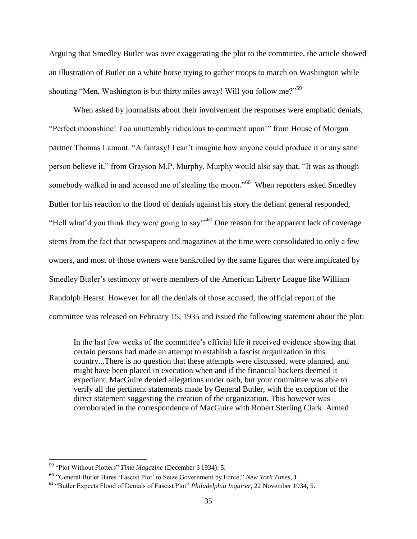Arguing that Smedley Butler was over exaggerating the plot to the committee, the article showed an illustration of Butler on a white horse trying to gather troops to march on Washington while shouting "Men, Washington is but thirty miles away! Will you follow me?"<sup>59</sup>

When asked by journalists about their involvement the responses were emphatic denials, "Perfect moonshine! Too unutterably ridiculous to comment upon!" from House of Morgan partner Thomas Lamont. "A fantasy! I can't imagine how anyone could produce it or any sane person believe it," from Grayson M.P. Murphy. Murphy would also say that, "It was as though somebody walked in and accused me of stealing the moon."<sup>60</sup> When reporters asked Smedley Butler for his reaction to the flood of denials against his story the defiant general responded, "Hell what'd you think they were going to say!"<sup>61</sup> One reason for the apparent lack of coverage stems from the fact that newspapers and magazines at the time were consolidated to only a few owners, and most of those owners were bankrolled by the same figures that were implicated by Smedley Butler"s testimony or were members of the American Liberty League like William Randolph Hearst. However for all the denials of those accused, the official report of the committee was released on February 15, 1935 and issued the following statement about the plot:

In the last few weeks of the committee's official life it received evidence showing that certain persons had made an attempt to establish a fascist organization in this country...There is no question that these attempts were discussed, were planned, and might have been placed in execution when and if the financial backers deemed it expedient. MacGuire denied allegations under oath, but your committee was able to verify all the pertinent statements made by General Butler, with the exception of the direct statement suggesting the creation of the organization. This however was corroborated in the correspondence of MacGuire with Robert Sterling Clark. Armed

<sup>59</sup> "Plot Without Plotters" *Time Magazine* (December 3 1934): 5.

<sup>60</sup> "General Butler Bares "Fascist Plot" to Seize Government by Force," *New York Times*, 1.

<sup>61</sup> "Butler Expects Flood of Denials of Fascist Plot" *Philadelphia Inquirer*, 22 November 1934, 5.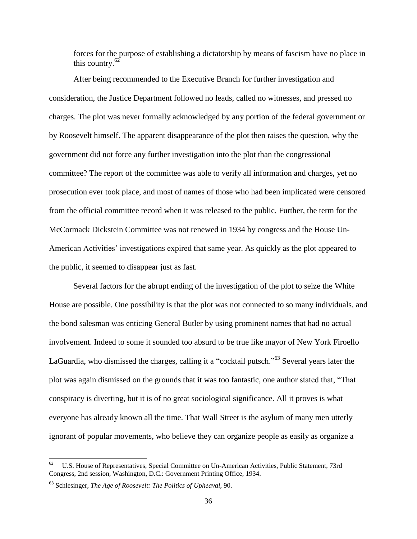forces for the purpose of establishing a dictatorship by means of fascism have no place in this country. $62$ 

After being recommended to the Executive Branch for further investigation and consideration, the Justice Department followed no leads, called no witnesses, and pressed no charges. The plot was never formally acknowledged by any portion of the federal government or by Roosevelt himself. The apparent disappearance of the plot then raises the question, why the government did not force any further investigation into the plot than the congressional committee? The report of the committee was able to verify all information and charges, yet no prosecution ever took place, and most of names of those who had been implicated were censored from the official committee record when it was released to the public. Further, the term for the McCormack Dickstein Committee was not renewed in 1934 by congress and the House Un-American Activities' investigations expired that same year. As quickly as the plot appeared to the public, it seemed to disappear just as fast.

Several factors for the abrupt ending of the investigation of the plot to seize the White House are possible. One possibility is that the plot was not connected to so many individuals, and the bond salesman was enticing General Butler by using prominent names that had no actual involvement. Indeed to some it sounded too absurd to be true like mayor of New York Firoello LaGuardia, who dismissed the charges, calling it a "cocktail putsch."<sup>63</sup> Several years later the plot was again dismissed on the grounds that it was too fantastic, one author stated that, "That conspiracy is diverting, but it is of no great sociological significance. All it proves is what everyone has already known all the time. That Wall Street is the asylum of many men utterly ignorant of popular movements, who believe they can organize people as easily as organize a

<sup>62</sup> U.S. House of Representatives, Special Committee on Un-American Activities, Public Statement, 73rd Congress, 2nd session, Washington, D.C.: Government Printing Office, 1934.

<sup>63</sup> Schlesinger, *The Age of Roosevelt: The Politics of Upheaval*, 90.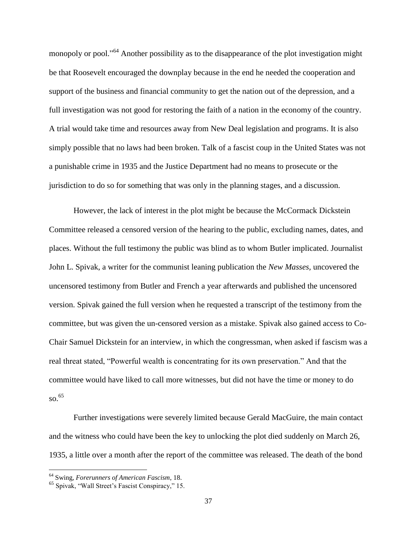monopoly or pool."<sup>64</sup> Another possibility as to the disappearance of the plot investigation might be that Roosevelt encouraged the downplay because in the end he needed the cooperation and support of the business and financial community to get the nation out of the depression, and a full investigation was not good for restoring the faith of a nation in the economy of the country. A trial would take time and resources away from New Deal legislation and programs. It is also simply possible that no laws had been broken. Talk of a fascist coup in the United States was not a punishable crime in 1935 and the Justice Department had no means to prosecute or the jurisdiction to do so for something that was only in the planning stages, and a discussion.

However, the lack of interest in the plot might be because the McCormack Dickstein Committee released a censored version of the hearing to the public, excluding names, dates, and places. Without the full testimony the public was blind as to whom Butler implicated. Journalist John L. Spivak, a writer for the communist leaning publication the *New Masses,* uncovered the uncensored testimony from Butler and French a year afterwards and published the uncensored version. Spivak gained the full version when he requested a transcript of the testimony from the committee, but was given the un-censored version as a mistake. Spivak also gained access to Co-Chair Samuel Dickstein for an interview, in which the congressman, when asked if fascism was a real threat stated, "Powerful wealth is concentrating for its own preservation." And that the committee would have liked to call more witnesses, but did not have the time or money to do so. 65

Further investigations were severely limited because Gerald MacGuire, the main contact and the witness who could have been the key to unlocking the plot died suddenly on March 26, 1935, a little over a month after the report of the committee was released. The death of the bond

<sup>64</sup> Swing*, Forerunners of American Fascism*, 18.

<sup>&</sup>lt;sup>65</sup> Spivak, "Wall Street's Fascist Conspiracy," 15.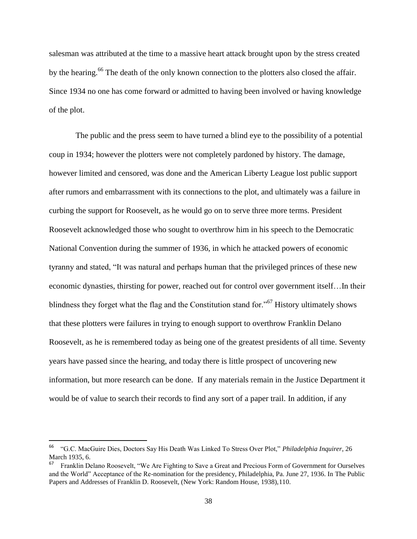salesman was attributed at the time to a massive heart attack brought upon by the stress created by the hearing.<sup>66</sup> The death of the only known connection to the plotters also closed the affair. Since 1934 no one has come forward or admitted to having been involved or having knowledge of the plot.

The public and the press seem to have turned a blind eye to the possibility of a potential coup in 1934; however the plotters were not completely pardoned by history. The damage, however limited and censored, was done and the American Liberty League lost public support after rumors and embarrassment with its connections to the plot, and ultimately was a failure in curbing the support for Roosevelt, as he would go on to serve three more terms. President Roosevelt acknowledged those who sought to overthrow him in his speech to the Democratic National Convention during the summer of 1936, in which he attacked powers of economic tyranny and stated, "It was natural and perhaps human that the privileged princes of these new economic dynasties, thirsting for power, reached out for control over government itself…In their blindness they forget what the flag and the Constitution stand for."<sup>67</sup> History ultimately shows that these plotters were failures in trying to enough support to overthrow Franklin Delano Roosevelt, as he is remembered today as being one of the greatest presidents of all time. Seventy years have passed since the hearing, and today there is little prospect of uncovering new information, but more research can be done. If any materials remain in the Justice Department it would be of value to search their records to find any sort of a paper trail. In addition, if any

<sup>66</sup> "G.C. MacGuire Dies, Doctors Say His Death Was Linked To Stress Over Plot," *Philadelphia Inquirer*, 26 March 1935, 6.

<sup>67</sup> Franklin Delano Roosevelt, "We Are Fighting to Save a Great and Precious Form of Government for Ourselves and the World" Acceptance of the Re-nomination for the presidency, Philadelphia, Pa. June 27, 1936. In The Public Papers and Addresses of Franklin D. Roosevelt, (New York: Random House, 1938),110.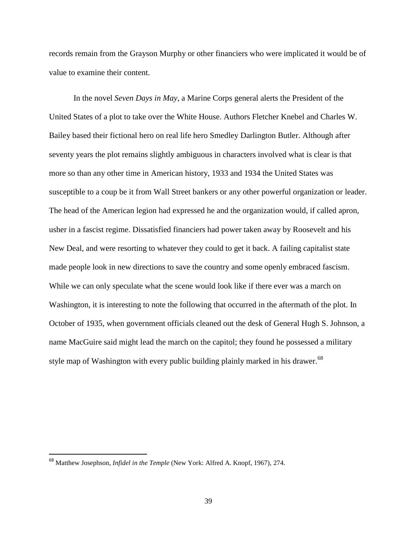records remain from the Grayson Murphy or other financiers who were implicated it would be of value to examine their content.

In the novel *Seven Days in May*, a Marine Corps general alerts the President of the United States of a plot to take over the White House. Authors [Fletcher Knebel](http://en.wikipedia.org/wiki/Fletcher_Knebel) and [Charles](http://en.wikipedia.org/w/index.php?title=Charles_W._Bailey&action=edit&redlink=1) W. [Bailey](http://en.wikipedia.org/w/index.php?title=Charles_W._Bailey&action=edit&redlink=1) based their fictional hero on real life hero Smedley Darlington Butler. Although after seventy years the plot remains slightly ambiguous in characters involved what is clear is that more so than any other time in American history, 1933 and 1934 the United States was susceptible to a coup be it from Wall Street bankers or any other powerful organization or leader. The head of the American legion had expressed he and the organization would, if called apron, usher in a fascist regime. Dissatisfied financiers had power taken away by Roosevelt and his New Deal, and were resorting to whatever they could to get it back. A failing capitalist state made people look in new directions to save the country and some openly embraced fascism. While we can only speculate what the scene would look like if there ever was a march on Washington, it is interesting to note the following that occurred in the aftermath of the plot. In October of 1935, when government officials cleaned out the desk of General Hugh S. Johnson, a name MacGuire said might lead the march on the capitol; they found he possessed a military style map of Washington with every public building plainly marked in his drawer.<sup>68</sup>

<sup>68</sup> Matthew Josephson, *Infidel in the Temple* (New York: Alfred A. Knopf, 1967), 274.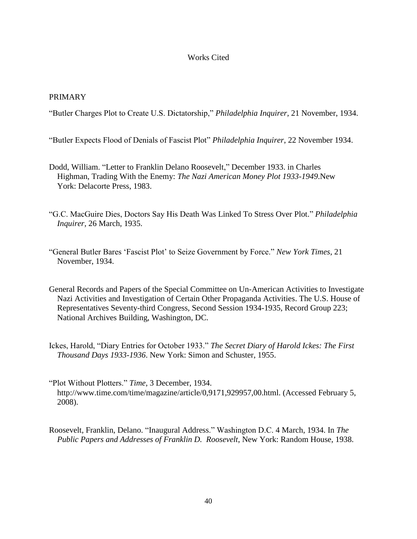## Works Cited

## PRIMARY

"Butler Charges Plot to Create U.S. Dictatorship," *Philadelphia Inquirer,* 21 November, 1934.

"Butler Expects Flood of Denials of Fascist Plot" *Philadelphia Inquirer*, 22 November 1934.

- Dodd, William. "Letter to Franklin Delano Roosevelt," December 1933. in Charles Highman, Trading With the Enemy: *The Nazi American Money Plot 1933-1949*.New York: Delacorte Press, 1983.
- "G.C. MacGuire Dies, Doctors Say His Death Was Linked To Stress Over Plot." *Philadelphia Inquirer,* 26 March, 1935.
- "General Butler Bares "Fascist Plot" to Seize Government by Force." *New York Times*, 21 November, 1934.
- General Records and Papers of the Special Committee on Un-American Activities to Investigate Nazi Activities and Investigation of Certain Other Propaganda Activities. The U.S. House of Representatives Seventy-third Congress, Second Session 1934-1935, Record Group 223; National Archives Building, Washington, DC.
- Ickes, Harold, "Diary Entries for October 1933." *The Secret Diary of Harold Ickes: The First Thousand Days 1933-1936*. New York: Simon and Schuster, 1955.
- "Plot Without Plotters." *Time*, 3 December, 1934. http://www.time.com/time/magazine/article/0,9171,929957,00.html. (Accessed February 5, 2008).
- Roosevelt, Franklin, Delano. "Inaugural Address." Washington D.C. 4 March, 1934. In *The Public Papers and Addresses of Franklin D. Roosevelt*, New York: Random House, 1938.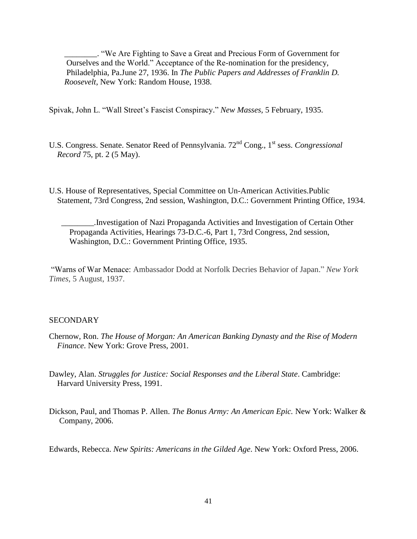\_\_\_\_\_\_\_\_. "We Are Fighting to Save a Great and Precious Form of Government for Ourselves and the World." Acceptance of the Re-nomination for the presidency, Philadelphia, Pa.June 27, 1936. In *The Public Papers and Addresses of Franklin D. Roosevelt*, New York: Random House, 1938.

Spivak, John L. "Wall Street"s Fascist Conspiracy." *New Masses,* 5 February, 1935.

- U.S. Congress. Senate. Senator Reed of Pennsylvania. 72<sup>nd</sup> Cong., 1<sup>st</sup> sess. *Congressional Record* 75, pt. 2 (5 May).
- U.S. House of Representatives, Special Committee on Un-American Activities.Public Statement, 73rd Congress, 2nd session, Washington, D.C.: Government Printing Office, 1934.

 \_\_\_\_\_\_\_\_.Investigation of Nazi Propaganda Activities and Investigation of Certain Other Propaganda Activities, Hearings 73-D.C.-6, Part 1, 73rd Congress, 2nd session, Washington, D.C.: Government Printing Office, 1935.

"Warns of War Menace: Ambassador Dodd at Norfolk Decries Behavior of Japan." *New York Times*, 5 August, 1937.

#### **SECONDARY**

- Chernow, Ron. *The House of Morgan: An American Banking Dynasty and the Rise of Modern Finance*. New York: Grove Press, 2001.
- Dawley, Alan. *Struggles for Justice: Social Responses and the Liberal State*. Cambridge: Harvard University Press, 1991.
- Dickson, Paul, and Thomas P. Allen. *The Bonus Army: An American Epic.* New York: Walker & Company, 2006.

Edwards, Rebecca. *New Spirits: Americans in the Gilded Age*. New York: Oxford Press, 2006.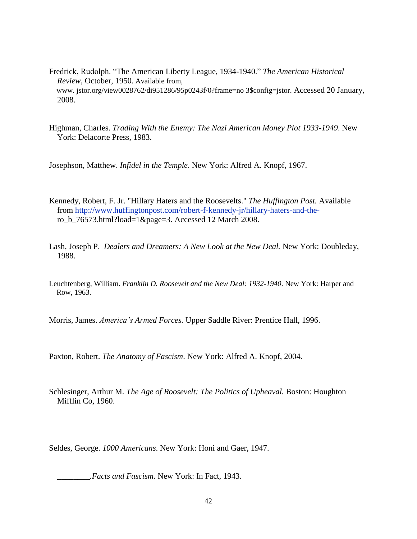- Fredrick, Rudolph. ["The American Liberty League, 1934-1940](http://www.jstor.org/view/00028762/di951286/95p0243f/0?frame=noframe&userID=891c3797@uwec.edu/01c0a80a6400501cfd252&dpi=3&config=jstor)." *The American Historical Review*, October, 1950. Available from, www. jstor.org/view0028762/di951286/95p0243f/0?frame=no 3\$config=jstor. Accessed 20 January, 2008.
- Highman, Charles. *Trading With the Enemy: The Nazi American Money Plot 1933-1949*. New York: Delacorte Press, 1983.

Josephson, Matthew. *Infidel in the Temple*. New York: Alfred A. Knopf, 1967.

- Kennedy, Robert, F. Jr. "Hillary Haters and the Roosevelts." *The Huffington Post.* Available from [http://www.huffingtonpost.com/robert-f-kennedy-jr/hillary-haters-and-the](http://www.huffingtonpost.com/robert-f-kennedy-jr/hillary-haters-and-the-) ro\_b\_76573.html?load=1&page=3. Accessed 12 March 2008.
- Lash, Joseph P. *Dealers and Dreamers: A New Look at the New Deal.* New York: Doubleday, 1988.
- Leuchtenberg, William. *Franklin D. Roosevelt and the New Deal: 1932-1940*. New York: Harper and Row, 1963.

Morris, James. *America's Armed Forces.* Upper Saddle River: Prentice Hall, 1996.

Paxton, Robert. *The Anatomy of Fascism*. New York: Alfred A. Knopf, 2004.

Schlesinger, Arthur M. *The Age of Roosevelt: The Politics of Upheaval.* Boston: Houghton Mifflin Co, 1960.

Seldes, George. *1000 Americans*. New York: Honi and Gaer, 1947.

*\_\_\_\_\_\_\_\_.Facts and Fascism.* New York: In Fact, 1943.